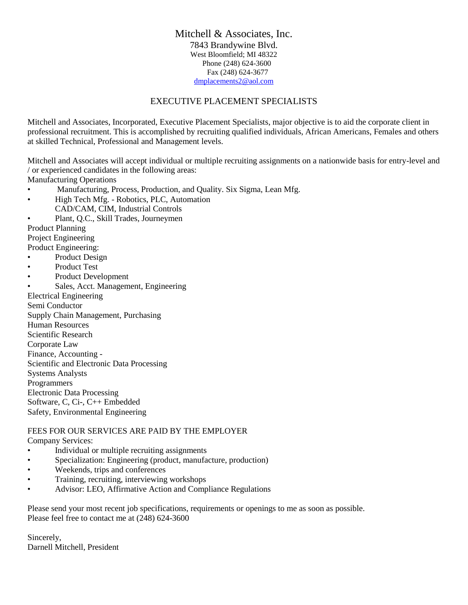## Mitchell & Associates, Inc. 7843 Brandywine Blvd. West Bloomfield; MI 48322 Phone (248) 624-3600 Fax (248) 624-3677 [dmplacements2@aol.com](mailto:dmplacements2@aol.com)

## EXECUTIVE PLACEMENT SPECIALISTS

Mitchell and Associates, Incorporated, Executive Placement Specialists, major objective is to aid the corporate client in professional recruitment. This is accomplished by recruiting qualified individuals, African Americans, Females and others at skilled Technical, Professional and Management levels.

Mitchell and Associates will accept individual or multiple recruiting assignments on a nationwide basis for entry-level and / or experienced candidates in the following areas:

Manufacturing Operations

- Manufacturing, Process, Production, and Quality. Six Sigma, Lean Mfg.
- High Tech Mfg. Robotics, PLC, Automation CAD/CAM, CIM, Industrial Controls
- Plant, Q.C., Skill Trades, Journeymen

Product Planning

Project Engineering

Product Engineering:

- Product Design
- Product Test
- Product Development

• Sales, Acct. Management, Engineering

Electrical Engineering Semi Conductor Supply Chain Management, Purchasing Human Resources Scientific Research Corporate Law Finance, Accounting - Scientific and Electronic Data Processing Systems Analysts Programmers Electronic Data Processing Software, C, Ci-, C++ Embedded Safety, Environmental Engineering

## FEES FOR OUR SERVICES ARE PAID BY THE EMPLOYER Company Services:

- Individual or multiple recruiting assignments
- Specialization: Engineering (product, manufacture, production)
- Weekends, trips and conferences
- Training, recruiting, interviewing workshops
- Advisor: LEO, Affirmative Action and Compliance Regulations

Please send your most recent job specifications, requirements or openings to me as soon as possible. Please feel free to contact me at (248) 624-3600

Sincerely, Darnell Mitchell, President